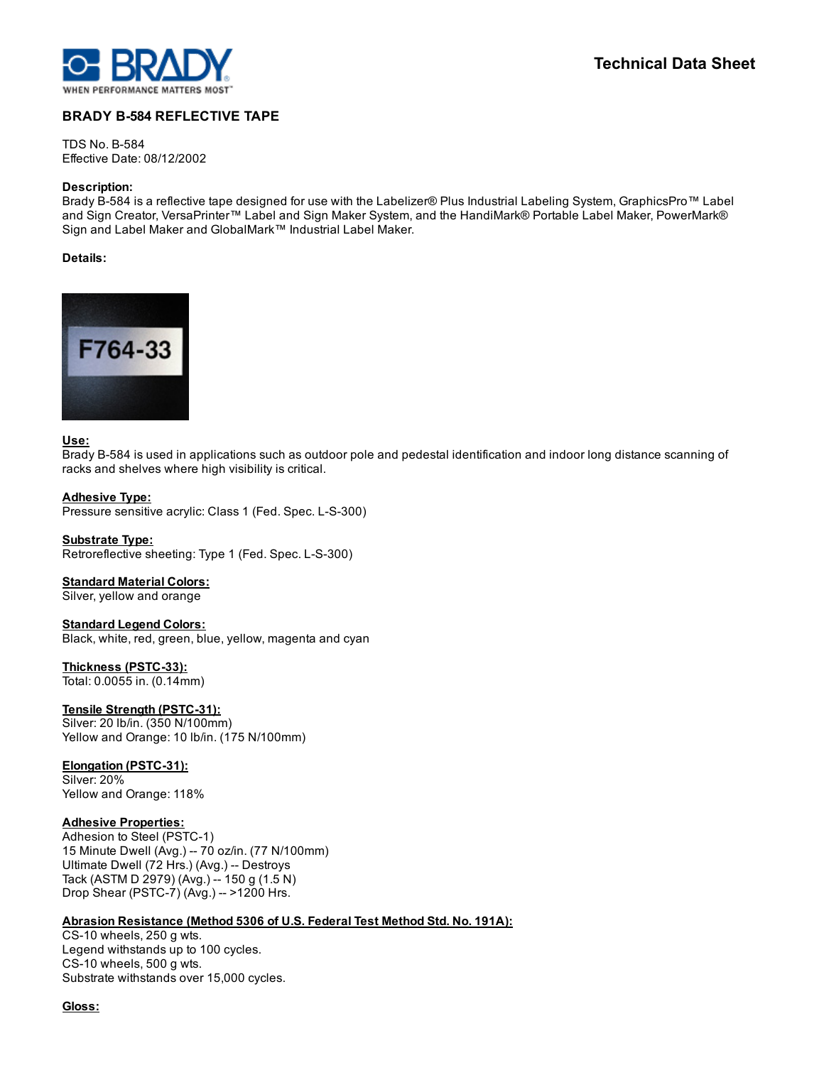

# **BRADY B-584 REFLECTIVE TAPE**

**TDS No. B-584** Effective Date: 08/12/2002

#### Description:

Brady B-584 is a reflective tape designed for use with the Labelizer® Plus Industrial Labeling System, GraphicsPro™ Label and Sign Creator, VersaPrinter™ Label and Sign Maker System, and the HandiMark® Portable Label Maker, PowerMark® Sign and Label Maker and GlobalMark™ Industrial Label Maker.

# Details:



### Use:

Brady B-584 is used in applications such as outdoor pole and pedestal identification and indoor long distance scanning of racks and shelves where high visibility is critical.

#### Adhesive Type:

Pressure sensitive acrylic: Class 1 (Fed. Spec. L-S-300)

Substrate Type: Retroreflective sheeting: Type 1 (Fed. Spec. L-S-300)

#### **Standard Material Colors:**

Silver, yellow and orange

#### Standard Legend Colors:

Black, white, red, green, blue, yellow, magenta and cyan

# Thickness (PSTC-33):

Total: 0.0055 in. (0.14mm)

# Tensile Strength (PSTC-31):

Silver: 20 lb/in. (350 N/100mm) Yellow and Orange: 10 lb/in. (175 N/100mm)

#### Elongation (PSTC-31):

Silver: 20% Yellow and Orange: 118%

#### Adhesive Properties:

Adhesion to Steel (PSTC-1) 15 Minute Dwell (Avg.) 70 oz/in. (77 N/100mm) Ultimate Dwell (72 Hrs.) (Avg.) -- Destroys Tack (ASTM D 2979) (Avg.) -- 150 g (1.5 N) Drop Shear (PSTC-7) (Avg.) -- >1200 Hrs.

# Abrasion Resistance (Method 5306 of U.S. Federal Test Method Std. No. 191A):

 $CS-10$  wheels, 250 g wts. Legend withstands up to 100 cycles.  $CS-10$  wheels, 500 g wts. Substrate withstands over 15,000 cycles.

Gloss: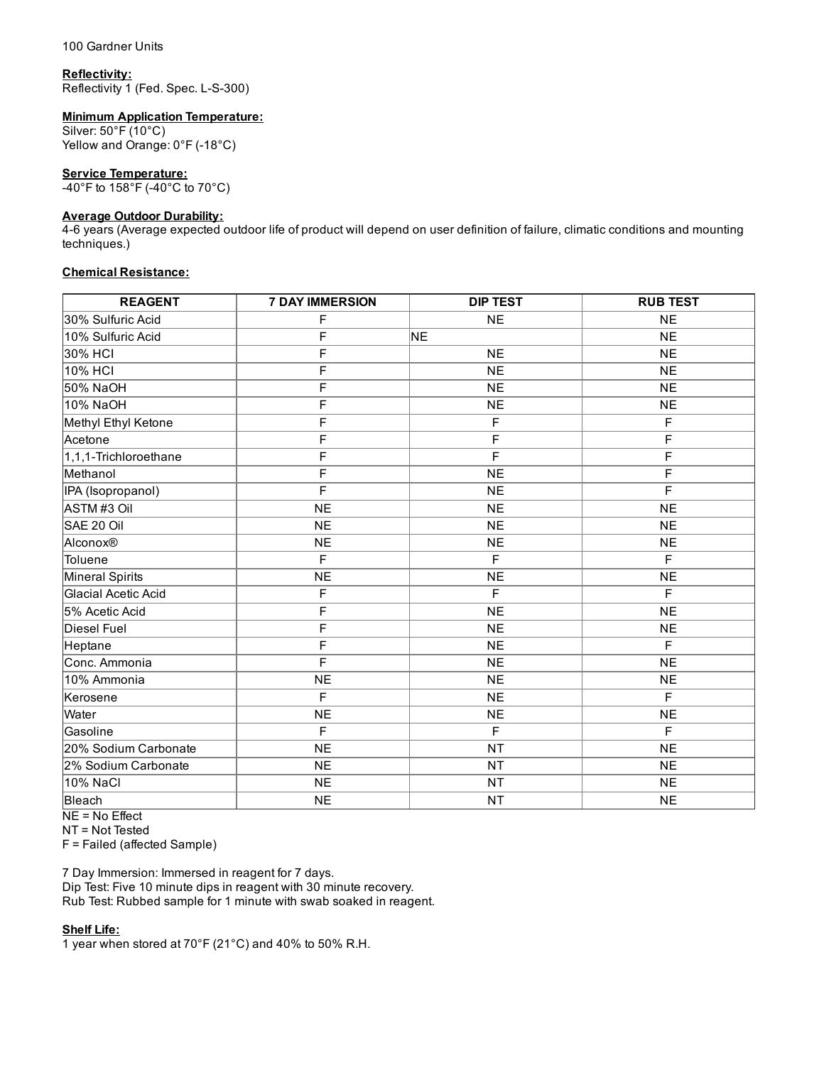#### Reflectivity:

Reflectivity 1 (Fed. Spec. L-S-300)

### Minimum Application Temperature:

Silver: 50°F (10°C) Yellow and Orange: 0°F (-18°C)

#### Service Temperature:

40°F to 158°F (40°C to 70°C)

# Average Outdoor Durability:

46 years (Average expected outdoor life of product will depend on user definition of failure, climatic conditions and mounting techniques.)

# Chemical Resistance:

| <b>REAGENT</b>        | <b>7 DAY IMMERSION</b> | <b>DIP TEST</b> | <b>RUB TEST</b> |
|-----------------------|------------------------|-----------------|-----------------|
| 30% Sulfuric Acid     | F                      | <b>NE</b>       | <b>NE</b>       |
| 10% Sulfuric Acid     | F                      | NE              | <b>NE</b>       |
| 30% HCI               | $\overline{F}$         | NE              | NE              |
| 10% HCI               | F                      | <b>NE</b>       | <b>NE</b>       |
| 50% NaOH              | F                      | <b>NE</b>       | N <sub>E</sub>  |
| 10% NaOH              | F                      | <b>NE</b>       | <b>NE</b>       |
| Methyl Ethyl Ketone   | F                      | $\overline{F}$  | F               |
| Acetone               | F                      | $\overline{F}$  | F               |
| 1,1,1-Trichloroethane | F                      | F               | F               |
| Methanol              | F                      | <b>NE</b>       | F               |
| IPA (Isopropanol)     | F                      | <b>NE</b>       | F               |
| ASTM#3 Oil            | <b>NE</b>              | <b>NE</b>       | <b>NE</b>       |
| SAE 20 Oil            | <b>NE</b>              | <b>NE</b>       | <b>NE</b>       |
| Alconox®              | <b>NE</b>              | <b>NE</b>       | <b>NE</b>       |
| Toluene               | F                      | F               | F               |
| Mineral Spirits       | <b>NE</b>              | <b>NE</b>       | <b>NE</b>       |
| Glacial Acetic Acid   | F                      | F               | F               |
| 5% Acetic Acid        | F                      | <b>NE</b>       | <b>NE</b>       |
| Diesel Fuel           | F                      | <b>NE</b>       | <b>NE</b>       |
| Heptane               | F                      | <b>NE</b>       | F               |
| Conc. Ammonia         | F                      | <b>NE</b>       | <b>NE</b>       |
| 10% Ammonia           | <b>NE</b>              | <b>NE</b>       | N <sub>E</sub>  |
| Kerosene              | F                      | <b>NE</b>       | F               |
| Water                 | <b>NE</b>              | <b>NE</b>       | <b>NE</b>       |
| <b>IGasoline</b>      | F                      | F               | F               |
| 20% Sodium Carbonate  | <b>NE</b>              | <b>NT</b>       | N <sub>E</sub>  |
| 2% Sodium Carbonate   | <b>NE</b>              | <b>NT</b>       | <b>NE</b>       |
| 10% NaCl              | <b>NE</b>              | <b>NT</b>       | <b>NE</b>       |
| Bleach                | <b>NE</b>              | <b>NT</b>       | <b>NE</b>       |

NE = No Effect

NT = Not Tested

F = Failed (affected Sample)

7 Day Immersion: Immersed in reagent for 7 days. Dip Test: Five 10 minute dips in reagent with 30 minute recovery. Rub Test: Rubbed sample for 1 minute with swab soaked in reagent.

#### Shelf Life:

1 year when stored at 70°F (21°C) and 40% to 50% R.H.